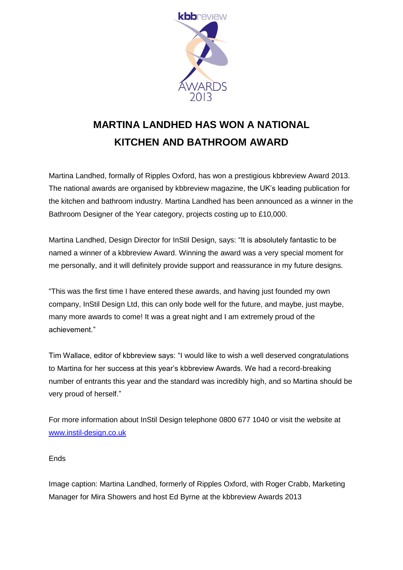

## **MARTINA LANDHED HAS WON A NATIONAL KITCHEN AND BATHROOM AWARD**

Martina Landhed, formally of Ripples Oxford, has won a prestigious kbbreview Award 2013. The national awards are organised by kbbreview magazine, the UK's leading publication for the kitchen and bathroom industry. Martina Landhed has been announced as a winner in the Bathroom Designer of the Year category, projects costing up to £10,000.

Martina Landhed, Design Director for InStil Design, says: "It is absolutely fantastic to be named a winner of a kbbreview Award. Winning the award was a very special moment for me personally, and it will definitely provide support and reassurance in my future designs.

"This was the first time I have entered these awards, and having just founded my own company, InStil Design Ltd, this can only bode well for the future, and maybe, just maybe, many more awards to come! It was a great night and I am extremely proud of the achievement."

Tim Wallace, editor of kbbreview says: "I would like to wish a well deserved congratulations to Martina for her success at this year's kbbreview Awards. We had a record-breaking number of entrants this year and the standard was incredibly high, and so Martina should be very proud of herself."

For more information about InStil Design telephone 0800 677 1040 or visit the website at [www.instil-design.co.uk](http://www.instil-design.co.uk/)

## **Ends**

Image caption: Martina Landhed, formerly of Ripples Oxford, with Roger Crabb, Marketing Manager for Mira Showers and host Ed Byrne at the kbbreview Awards 2013